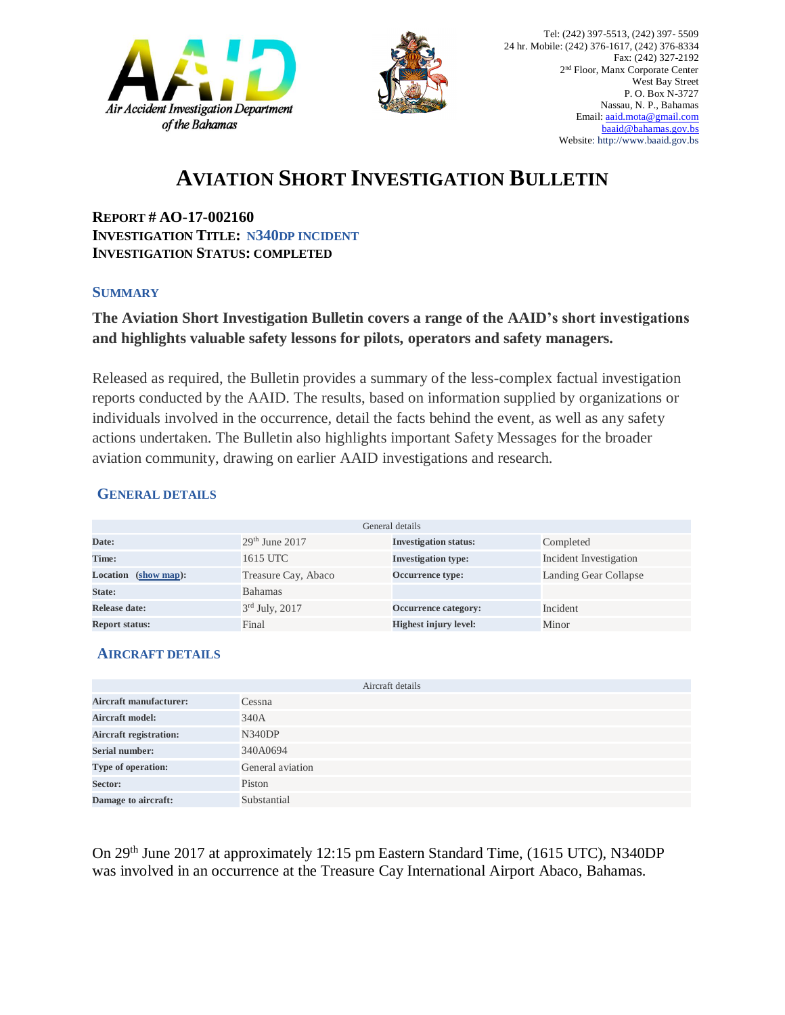



# **AVIATION SHORT INVESTIGATION BULLETIN**

**REPORT # AO-17-002160 INVESTIGATION TITLE: N340DP INCIDENT INVESTIGATION STATUS: COMPLETED**

#### **SUMMARY**

### **The Aviation Short Investigation Bulletin covers a range of the AAID's short investigations and highlights valuable safety lessons for pilots, operators and safety managers.**

Released as required, the Bulletin provides a summary of the less-complex factual investigation reports conducted by the AAID. The results, based on information supplied by organizations or individuals involved in the occurrence, detail the facts behind the event, as well as any safety actions undertaken. The Bulletin also highlights important Safety Messages for the broader aviation community, drawing on earlier AAID investigations and research.

#### **GENERAL DETAILS**

| General details       |                     |                              |                        |
|-----------------------|---------------------|------------------------------|------------------------|
| Date:                 | $29th$ June 2017    | <b>Investigation status:</b> | Completed              |
| Time:                 | 1615 UTC            | <b>Investigation type:</b>   | Incident Investigation |
| Location (show map):  | Treasure Cay, Abaco | Occurrence type:             | Landing Gear Collapse  |
| State:                | <b>Bahamas</b>      |                              |                        |
| Release date:         | $3rd$ July, 2017    | Occurrence category:         | Incident               |
| <b>Report status:</b> | Final               | <b>Highest injury level:</b> | Minor                  |

#### **AIRCRAFT DETAILS**

| Aircraft details              |                  |  |  |
|-------------------------------|------------------|--|--|
| Aircraft manufacturer:        | Cessna           |  |  |
| <b>Aircraft model:</b>        | 340A             |  |  |
| <b>Aircraft registration:</b> | <b>N340DP</b>    |  |  |
| Serial number:                | 340A0694         |  |  |
| Type of operation:            | General aviation |  |  |
| Sector:                       | Piston           |  |  |
| Damage to aircraft:           | Substantial      |  |  |

On 29th June 2017 at approximately 12:15 pm Eastern Standard Time, (1615 UTC), N340DP was involved in an occurrence at the Treasure Cay International Airport Abaco, Bahamas.